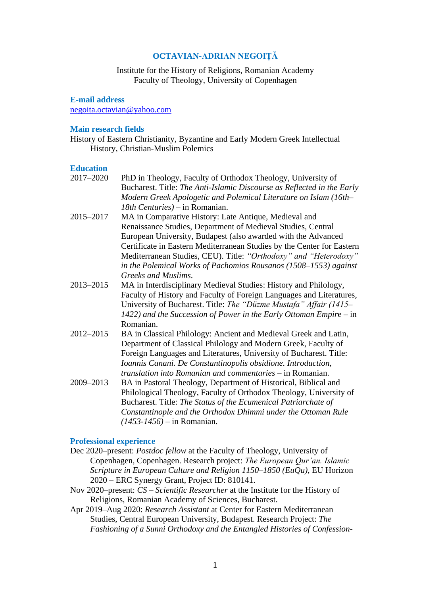# **OCTAVIAN-ADRIAN NEGOIȚĂ**

Institute for the History of Religions, Romanian Academy Faculty of Theology, University of Copenhagen

**E-mail address**

[negoita.octavian@yahoo.com](mailto:negoita.octavian@yahoo.com)

### **Main research fields**

History of Eastern Christianity, Byzantine and Early Modern Greek Intellectual History, Christian-Muslim Polemics

### **Education**

- 2017–2020 PhD in Theology, Faculty of Orthodox Theology, University of Bucharest. Title: *The Anti-Islamic Discourse as Reflected in the Early Modern Greek Apologetic and Polemical Literature on Islam (16th– 18th Centuries)* – in Romanian. 2015–2017 MA in Comparative History: Late Antique, Medieval and Renaissance Studies, Department of Medieval Studies, Central European University, Budapest (also awarded with the Advanced Certificate in Eastern Mediterranean Studies by the Center for Eastern Mediterranean Studies, CEU). Title: *"Orthodoxy" and "Heterodoxy" in the Polemical Works of Pachomios Rousanos (1508–1553) against* 
	- *Greeks and Muslims*.
- 2013–2015 MA in Interdisciplinary Medieval Studies: History and Philology, Faculty of History and Faculty of Foreign Languages and Literatures, University of Bucharest. Title: *The "Düzme Mustafa" Affair (1415– 1422) and the Succession of Power in the Early Ottoman Empir*e – in Romanian.
- 2012–2015 BA in Classical Philology: Ancient and Medieval Greek and Latin, Department of Classical Philology and Modern Greek, Faculty of Foreign Languages and Literatures, University of Bucharest. Title: *Ioannis Canani. De Constantinopolis obsidione. Introduction, translation into Romanian and commentaries* – in Romanian.
- 2009–2013 BA in Pastoral Theology, Department of Historical, Biblical and Philological Theology, Faculty of Orthodox Theology, University of Bucharest. Title: *The Status of the Ecumenical Patriarchate of Constantinople and the Orthodox Dhimmi under the Ottoman Rule (1453-1456)* – in Romanian.

### **Professional experience**

- Dec 2020–present: *Postdoc fellow* at the Faculty of Theology, University of Copenhagen, Copenhagen. Research project: *The European Qur'an. Islamic Scripture in European Culture and Religion 1150–1850 (EuQu)*, EU Horizon 2020 – ERC Synergy Grant, Project ID: 810141.
- Nov 2020–present: *CS – Scientific Researcher* at the Institute for the History of Religions, Romanian Academy of Sciences, Bucharest.
- Apr 2019–Aug 2020: *Research Assistant* at Center for Eastern Mediterranean Studies, Central European University, Budapest. Research Project: *The Fashioning of a Sunni Orthodoxy and the Entangled Histories of Confession-*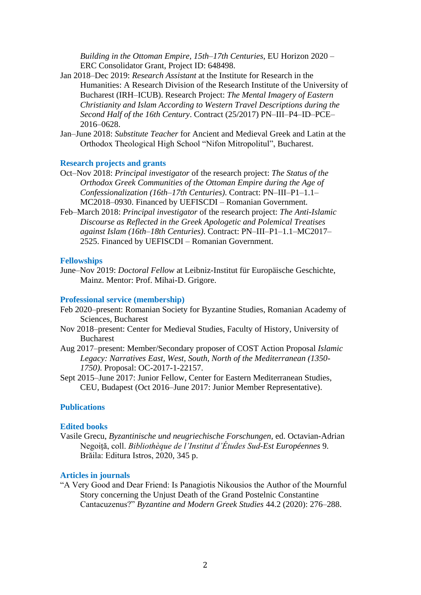*Building in the Ottoman Empire, 15th–17th Centuries*, EU Horizon 2020 – ERC Consolidator Grant, Project ID: 648498.

- Jan 2018–Dec 2019: *Research Assistant* at the Institute for Research in the Humanities: A Research Division of the Research Institute of the University of Bucharest (IRH–ICUB). Research Project: *The Mental Imagery of Eastern Christianity and Islam According to Western Travel Descriptions during the Second Half of the 16th Century*. Contract (25/2017) PN–III–P4–ID–PCE– 2016–0628.
- Jan–June 2018: *Substitute Teacher* for Ancient and Medieval Greek and Latin at the Orthodox Theological High School "Nifon Mitropolitul", Bucharest.

## **Research projects and grants**

- Oct–Nov 2018: *Principal investigator* of the research project: *The Status of the Orthodox Greek Communities of the Ottoman Empire during the Age of Confessionalization (16th–17th Centuries)*. Contract: PN–III–P1–1.1– MC2018–0930. Financed by UEFISCDI – Romanian Government.
- Feb–March 2018: *Principal investigator* of the research project: *The Anti-Islamic Discourse as Reflected in the Greek Apologetic and Polemical Treatises against Islam (16th–18th Centuries)*. Contract: PN–III–P1–1.1–MC2017– 2525. Financed by UEFISCDI – Romanian Government.

#### **Fellowships**

June–Nov 2019: *Doctoral Fellow* at Leibniz-Institut für Europäische Geschichte, Mainz. Mentor: Prof. Mihai-D. Grigore.

### **Professional service (membership)**

- Feb 2020–present: Romanian Society for Byzantine Studies, Romanian Academy of Sciences, Bucharest
- Nov 2018–present: Center for Medieval Studies, Faculty of History, University of Bucharest
- Aug 2017–present: Member/Secondary proposer of COST Action Proposal *Islamic Legacy: Narratives East, West, South, North of the Mediterranean (1350- 1750)*. Proposal: OC-2017-1-22157.
- Sept 2015–June 2017: Junior Fellow, Center for Eastern Mediterranean Studies, CEU, Budapest (Oct 2016–June 2017: Junior Member Representative).

# **Publications**

#### **Edited books**

Vasile Grecu, *Byzantinische und neugriechische Forschungen*, ed. Octavian-Adrian Negoiță, coll. *Bibliothèque de l'Institut d'Études Sud-Est Européennes* 9. Brăila: Editura Istros, 2020, 345 p.

## **Articles in journals**

"A Very Good and Dear Friend: Is Panagiotis Nikousios the Author of the Mournful Story concerning the Unjust Death of the Grand Postelnic Constantine Cantacuzenus?" *Byzantine and Modern Greek Studies* 44.2 (2020): 276–288.